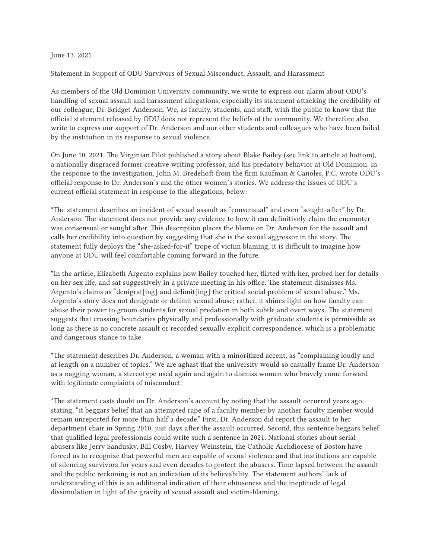## June 13, 2021

Statement in Support of ODU Survivors of Sexual Misconduct, Assault, and Harassment

As members of the Old Dominion University community, we write to express our alarm about ODU's handling of sexual assault and harassment allegations, especially its statement attacking the credibility of our colleague, Dr. Bridget Anderson. We, as faculty, students, and staff, wish the public to know that the official statement released by ODU does not represent the beliefs of the community. We therefore also write to express our support of Dr. Anderson and our other students and colleagues who have been failed by the institution in its response to sexual violence.

On June 10, 2021, The Virginian Pilot published a story about Blake Bailey (see link to article at bottom), a nationally disgraced former creative writing professor, and his predatory behavior at Old Dominion. In the response to the investigation, John M. Bredehoft from the firm Kaufman & Canoles, P.C. wrote ODU's official response to Dr. Anderson's and the other women's stories. We address the issues of ODU's current official statement in response to the allegations, below:

\*The statement describes an incident of sexual assault as "consensual" and even "sought-after" by Dr. Anderson. The statement does not provide any evidence to how it can definitively claim the encounter was consensual or sought after. This description places the blame on Dr. Anderson for the assault and calls her credibility into question by suggesting that she is the sexual aggressor in the story. The statement fully deploys the "she-asked-for-it" trope of victim blaming; it is difficult to imagine how anyone at ODU will feel comfortable coming forward in the future.

\*In the article, Elizabeth Argento explains how Bailey touched her, flirted with her, probed her for details on her sex life, and sat suggestively in a private meeting in his office. The statement dismisses Ms. Argento's claims as "denigrat[ing] and delimit[ing] the critical social problem of sexual abuse." Ms. Argento's story does not denigrate or delimit sexual abuse; rather, it shines light on how faculty can abuse their power to groom students for sexual predation in both subtle and overt ways. The statement suggests that crossing boundaries physically and professionally with graduate students is permissible as long as there is no concrete assault or recorded sexually explicit correspondence, which is a problematic and dangerous stance to take.

\*The statement describes Dr. Anderson, a woman with a minoritized accent, as "complaining loudly and at length on a number of topics." We are aghast that the university would so casually frame Dr. Anderson as a nagging woman, a stereotype used again and again to dismiss women who bravely come forward with legitimate complaints of misconduct.

\*The statement casts doubt on Dr. Anderson's account by noting that the assault occurred years ago, stating, "it beggars belief that an attempted rape of a faculty member by another faculty member would remain unreported for more than half a decade." First, Dr. Anderson did report the assault to her department chair in Spring 2010, just days after the assault occurred. Second, this sentence beggars belief that qualified legal professionals could write such a sentence in 2021. National stories about serial abusers like Jerry Sandusky, Bill Cosby, Harvey Weinstein, the Catholic Archdiocese of Boston have forced us to recognize that powerful men are capable of sexual violence and that institutions are capable of silencing survivors for years and even decades to protect the abusers. Time lapsed between the assault and the public reckoning is not an indication of its believability. The statement authors' lack of understanding of this is an additional indication of their obtuseness and the ineptitude of legal dissimulation in light of the gravity of sexual assault and victim-blaming.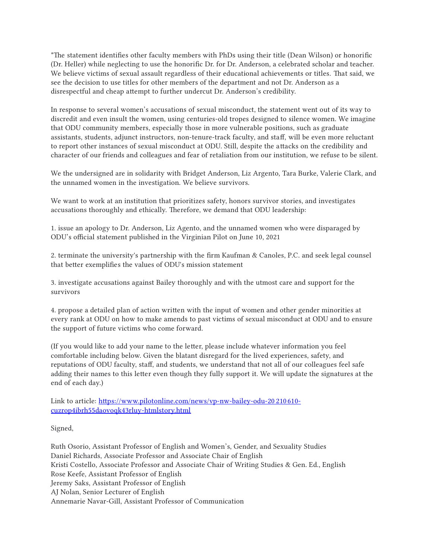\*The statement identifies other faculty members with PhDs using their title (Dean Wilson) or honorific (Dr. Heller) while neglecting to use the honorific Dr. for Dr. Anderson, a celebrated scholar and teacher. We believe victims of sexual assault regardless of their educational achievements or titles. That said, we see the decision to use titles for other members of the department and not Dr. Anderson as a disrespectful and cheap attempt to further undercut Dr. Anderson's credibility.

In response to several women's accusations of sexual misconduct, the statement went out of its way to discredit and even insult the women, using centuries-old tropes designed to silence women. We imagine that ODU community members, especially those in more vulnerable positions, such as graduate assistants, students, adjunct instructors, non-tenure-track faculty, and staff, will be even more reluctant to report other instances of sexual misconduct at ODU. Still, despite the attacks on the credibility and character of our friends and colleagues and fear of retaliation from our institution, we refuse to be silent.

We the undersigned are in solidarity with Bridget Anderson, Liz Argento, Tara Burke, Valerie Clark, and the unnamed women in the investigation. We believe survivors.

We want to work at an institution that prioritizes safety, honors survivor stories, and investigates accusations thoroughly and ethically. Therefore, we demand that ODU leadership:

1. issue an apology to Dr. Anderson, Liz Agento, and the unnamed women who were disparaged by ODU's official statement published in the Virginian Pilot on June 10, 2021

2. terminate the university's partnership with the firm Kaufman & Canoles, P.C. and seek legal counsel that better exemplifies the values of ODU's mission statement

3. investigate accusations against Bailey thoroughly and with the utmost care and support for the survivors

4. propose a detailed plan of action written with the input of women and other gender minorities at every rank at ODU on how to make amends to past victims of sexual misconduct at ODU and to ensure the support of future victims who come forward.

(If you would like to add your name to the letter, please include whatever information you feel comfortable including below. Given the blatant disregard for the lived experiences, safety, and reputations of ODU faculty, staff, and students, we understand that not all of our colleagues feel safe adding their names to this letter even though they fully support it. We will update the signatures at the end of each day.)

Link to article: [https://www.pilotonline.com/news/vp-nw-bailey-odu-20210610](https://www.google.com/url?q=https://www.pilotonline.com/news/vp-nw-bailey-odu-20210610-cuzrop4ibrh55daovoqk43rluy-htmlstory.html&sa=D&source=editors&ust=1623676423683000&usg=AFQjCNGAW2WguxOIDhPYJhVJcjmOPVoZFw) [cuzrop4ibrh55daovoqk43rluy-htmlstory.html](https://www.google.com/url?q=https://www.pilotonline.com/news/vp-nw-bailey-odu-20210610-cuzrop4ibrh55daovoqk43rluy-htmlstory.html&sa=D&source=editors&ust=1623676423683000&usg=AFQjCNGAW2WguxOIDhPYJhVJcjmOPVoZFw)

Signed,

Ruth Osorio, Assistant Professor of English and Women's, Gender, and Sexuality Studies Daniel Richards, Associate Professor and Associate Chair of English Kristi Costello, Associate Professor and Associate Chair of Writing Studies & Gen. Ed., English Rose Keefe, Assistant Professor of English Jeremy Saks, Assistant Professor of English AJ Nolan, Senior Lecturer of English Annemarie Navar-Gill, Assistant Professor of Communication